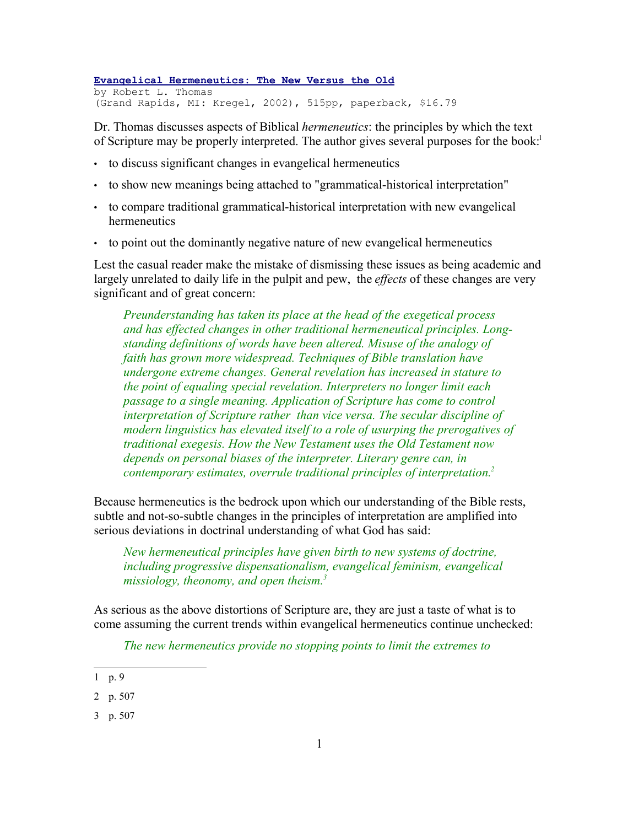**Evangelical Hermeneutics: The New Versus the Old** by Robert L. Thomas (Grand Rapids, MI: Kregel, 2002), 515pp, paperback, \$16.79

Dr. Thomas discusses aspects of Biblical *hermeneutics*: the principles by which the text of Scripture may be properly interpreted. The author gives several purposes for the book:<sup>1</sup>

- to discuss significant changes in evangelical hermeneutics
- to show new meanings being attached to "grammatical-historical interpretation"
- to compare traditional grammatical-historical interpretation with new evangelical hermeneutics
- to point out the dominantly negative nature of new evangelical hermeneutics

Lest the casual reader make the mistake of dismissing these issues as being academic and largely unrelated to daily life in the pulpit and pew, the *effects* of these changes are very significant and of great concern:

*Preunderstanding has taken its place at the head of the exegetical process and has effected changes in other traditional hermeneutical principles. Longstanding definitions of words have been altered. Misuse of the analogy of faith has grown more widespread. Techniques of Bible translation have undergone extreme changes. General revelation has increased in stature to the point of equaling special revelation. Interpreters no longer limit each passage to a single meaning. Application of Scripture has come to control interpretation of Scripture rather than vice versa. The secular discipline of modern linguistics has elevated itself to a role of usurping the prerogatives of traditional exegesis. How the New Testament uses the Old Testament now depends on personal biases of the interpreter. Literary genre can, in contemporary estimates, overrule traditional principles of interpretation.<sup>2</sup>*

Because hermeneutics is the bedrock upon which our understanding of the Bible rests, subtle and not-so-subtle changes in the principles of interpretation are amplified into serious deviations in doctrinal understanding of what God has said:

*New hermeneutical principles have given birth to new systems of doctrine, including progressive dispensationalism, evangelical feminism, evangelical missiology, theonomy, and open theism.<sup>3</sup>*

As serious as the above distortions of Scripture are, they are just a taste of what is to come assuming the current trends within evangelical hermeneutics continue unchecked:

*The new hermeneutics provide no stopping points to limit the extremes to*

3 p. 507

<sup>1</sup> p. 9

<sup>2</sup> p. 507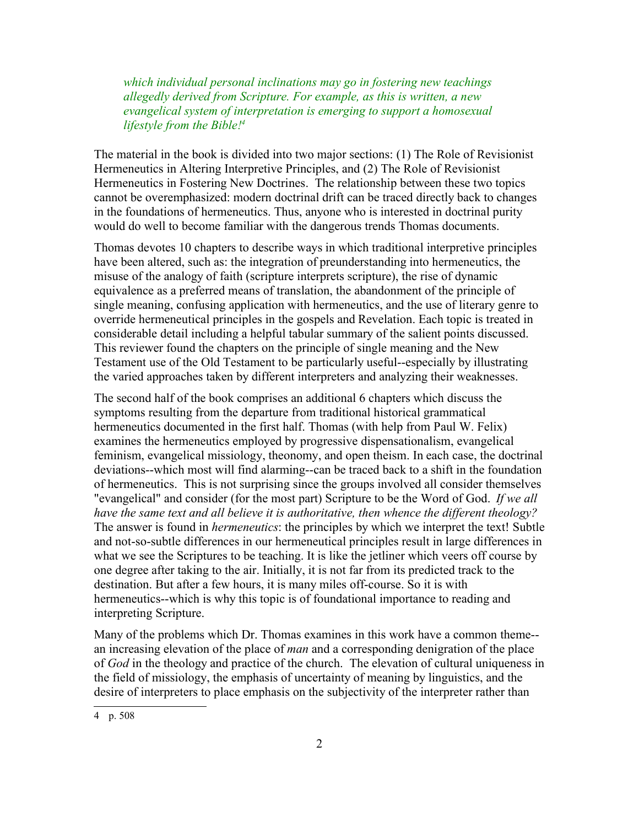*which individual personal inclinations may go in fostering new teachings allegedly derived from Scripture. For example, as this is written, a new evangelical system of interpretation is emerging to support a homosexual lifestyle from the Bible! 4*

The material in the book is divided into two major sections: (1) The Role of Revisionist Hermeneutics in Altering Interpretive Principles, and (2) The Role of Revisionist Hermeneutics in Fostering New Doctrines. The relationship between these two topics cannot be overemphasized: modern doctrinal drift can be traced directly back to changes in the foundations of hermeneutics. Thus, anyone who is interested in doctrinal purity would do well to become familiar with the dangerous trends Thomas documents.

Thomas devotes 10 chapters to describe ways in which traditional interpretive principles have been altered, such as: the integration of preunderstanding into hermeneutics, the misuse of the analogy of faith (scripture interprets scripture), the rise of dynamic equivalence as a preferred means of translation, the abandonment of the principle of single meaning, confusing application with hermeneutics, and the use of literary genre to override hermeneutical principles in the gospels and Revelation. Each topic is treated in considerable detail including a helpful tabular summary of the salient points discussed. This reviewer found the chapters on the principle of single meaning and the New Testament use of the Old Testament to be particularly useful--especially by illustrating the varied approaches taken by different interpreters and analyzing their weaknesses.

The second half of the book comprises an additional 6 chapters which discuss the symptoms resulting from the departure from traditional historical grammatical hermeneutics documented in the first half. Thomas (with help from Paul W. Felix) examines the hermeneutics employed by progressive dispensationalism, evangelical feminism, evangelical missiology, theonomy, and open theism. In each case, the doctrinal deviations--which most will find alarming--can be traced back to a shift in the foundation of hermeneutics. This is not surprising since the groups involved all consider themselves "evangelical" and consider (for the most part) Scripture to be the Word of God. *If we all have the same text and all believe it is authoritative, then whence the different theology?* The answer is found in *hermeneutics*: the principles by which we interpret the text! Subtle and not-so-subtle differences in our hermeneutical principles result in large differences in what we see the Scriptures to be teaching. It is like the jetliner which veers off course by one degree after taking to the air. Initially, it is not far from its predicted track to the destination. But after a few hours, it is many miles off-course. So it is with hermeneutics--which is why this topic is of foundational importance to reading and interpreting Scripture.

Many of the problems which Dr. Thomas examines in this work have a common theme- an increasing elevation of the place of *man* and a corresponding denigration of the place of *God* in the theology and practice of the church. The elevation of cultural uniqueness in the field of missiology, the emphasis of uncertainty of meaning by linguistics, and the desire of interpreters to place emphasis on the subjectivity of the interpreter rather than

<sup>4</sup> p. 508